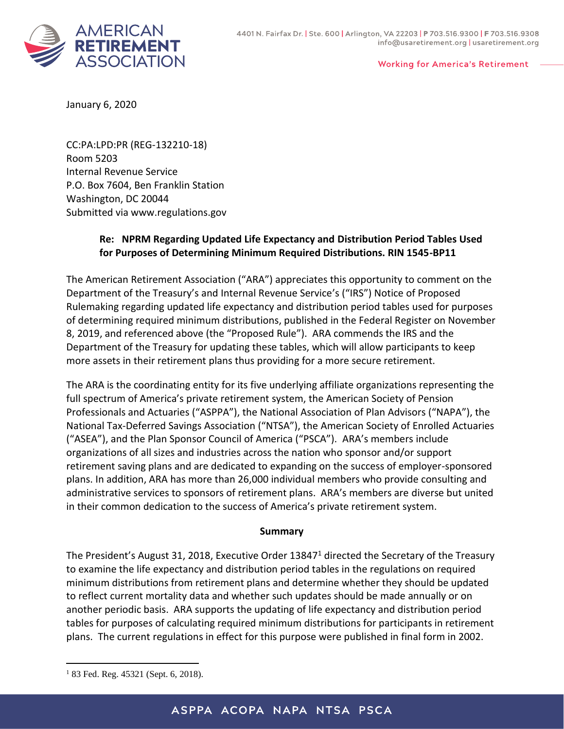

## **Working for America's Retirement**

January 6, 2020

CC:PA:LPD:PR (REG-132210-18) Room 5203 Internal Revenue Service P.O. Box 7604, Ben Franklin Station Washington, DC 20044 Submitted via www.regulations.gov

## **Re: NPRM Regarding Updated Life Expectancy and Distribution Period Tables Used for Purposes of Determining Minimum Required Distributions. RIN 1545-BP11**

The American Retirement Association ("ARA") appreciates this opportunity to comment on the Department of the Treasury's and Internal Revenue Service's ("IRS") Notice of Proposed Rulemaking regarding updated life expectancy and distribution period tables used for purposes of determining required minimum distributions, published in the Federal Register on November 8, 2019, and referenced above (the "Proposed Rule"). ARA commends the IRS and the Department of the Treasury for updating these tables, which will allow participants to keep more assets in their retirement plans thus providing for a more secure retirement.

The ARA is the coordinating entity for its five underlying affiliate organizations representing the full spectrum of America's private retirement system, the American Society of Pension Professionals and Actuaries ("ASPPA"), the National Association of Plan Advisors ("NAPA"), the National Tax-Deferred Savings Association ("NTSA"), the American Society of Enrolled Actuaries ("ASEA"), and the Plan Sponsor Council of America ("PSCA"). ARA's members include organizations of all sizes and industries across the nation who sponsor and/or support retirement saving plans and are dedicated to expanding on the success of employer-sponsored plans. In addition, ARA has more than 26,000 individual members who provide consulting and administrative services to sponsors of retirement plans. ARA's members are diverse but united in their common dedication to the success of America's private retirement system.

## **Summary**

The President's August 31, 2018, Executive Order 13847<sup>1</sup> directed the Secretary of the Treasury to examine the life expectancy and distribution period tables in the regulations on required minimum distributions from retirement plans and determine whether they should be updated to reflect current mortality data and whether such updates should be made annually or on another periodic basis. ARA supports the updating of life expectancy and distribution period tables for purposes of calculating required minimum distributions for participants in retirement plans. The current regulations in effect for this purpose were published in final form in 2002.

 $\overline{a}$ 

 $183$  Fed. Reg. 45321 (Sept. 6, 2018).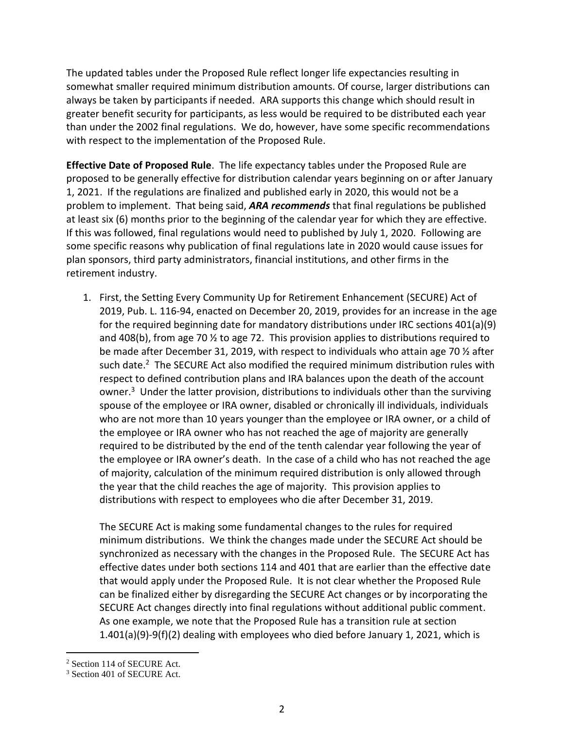The updated tables under the Proposed Rule reflect longer life expectancies resulting in somewhat smaller required minimum distribution amounts. Of course, larger distributions can always be taken by participants if needed. ARA supports this change which should result in greater benefit security for participants, as less would be required to be distributed each year than under the 2002 final regulations. We do, however, have some specific recommendations with respect to the implementation of the Proposed Rule.

**Effective Date of Proposed Rule**. The life expectancy tables under the Proposed Rule are proposed to be generally effective for distribution calendar years beginning on or after January 1, 2021. If the regulations are finalized and published early in 2020, this would not be a problem to implement. That being said, *ARA recommends* that final regulations be published at least six (6) months prior to the beginning of the calendar year for which they are effective. If this was followed, final regulations would need to published by July 1, 2020. Following are some specific reasons why publication of final regulations late in 2020 would cause issues for plan sponsors, third party administrators, financial institutions, and other firms in the retirement industry.

1. First, the Setting Every Community Up for Retirement Enhancement (SECURE) Act of 2019, Pub. L. 116-94, enacted on December 20, 2019, provides for an increase in the age for the required beginning date for mandatory distributions under IRC sections 401(a)(9) and 408(b), from age 70  $\frac{1}{2}$  to age 72. This provision applies to distributions required to be made after December 31, 2019, with respect to individuals who attain age 70  $\frac{1}{2}$  after such date.<sup>2</sup> The SECURE Act also modified the required minimum distribution rules with respect to defined contribution plans and IRA balances upon the death of the account owner.<sup>3</sup> Under the latter provision, distributions to individuals other than the surviving spouse of the employee or IRA owner, disabled or chronically ill individuals, individuals who are not more than 10 years younger than the employee or IRA owner, or a child of the employee or IRA owner who has not reached the age of majority are generally required to be distributed by the end of the tenth calendar year following the year of the employee or IRA owner's death. In the case of a child who has not reached the age of majority, calculation of the minimum required distribution is only allowed through the year that the child reaches the age of majority. This provision applies to distributions with respect to employees who die after December 31, 2019.

The SECURE Act is making some fundamental changes to the rules for required minimum distributions. We think the changes made under the SECURE Act should be synchronized as necessary with the changes in the Proposed Rule. The SECURE Act has effective dates under both sections 114 and 401 that are earlier than the effective date that would apply under the Proposed Rule. It is not clear whether the Proposed Rule can be finalized either by disregarding the SECURE Act changes or by incorporating the SECURE Act changes directly into final regulations without additional public comment. As one example, we note that the Proposed Rule has a transition rule at section 1.401(a)(9)-9(f)(2) dealing with employees who died before January 1, 2021, which is

 $\overline{a}$ 

<sup>2</sup> Section 114 of SECURE Act.

<sup>3</sup> Section 401 of SECURE Act.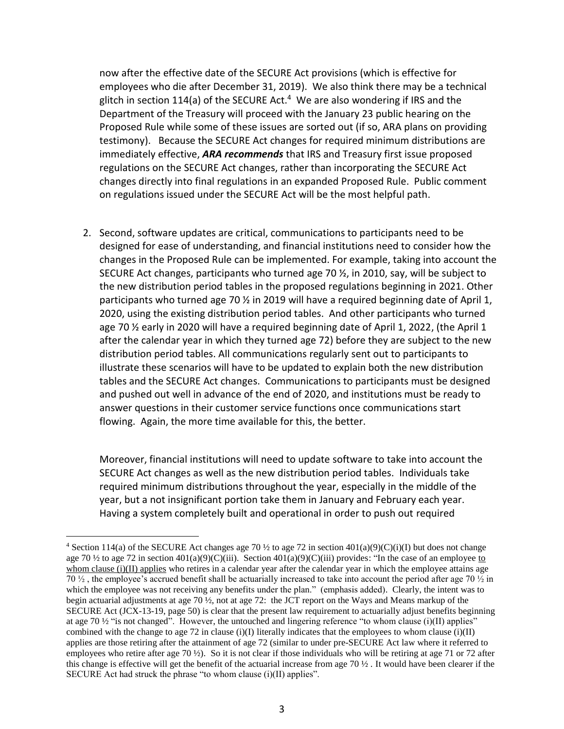now after the effective date of the SECURE Act provisions (which is effective for employees who die after December 31, 2019). We also think there may be a technical glitch in section 114(a) of the SECURE Act.<sup>4</sup> We are also wondering if IRS and the Department of the Treasury will proceed with the January 23 public hearing on the Proposed Rule while some of these issues are sorted out (if so, ARA plans on providing testimony). Because the SECURE Act changes for required minimum distributions are immediately effective, *ARA recommends* that IRS and Treasury first issue proposed regulations on the SECURE Act changes, rather than incorporating the SECURE Act changes directly into final regulations in an expanded Proposed Rule. Public comment on regulations issued under the SECURE Act will be the most helpful path.

2. Second, software updates are critical, communications to participants need to be designed for ease of understanding, and financial institutions need to consider how the changes in the Proposed Rule can be implemented. For example, taking into account the SECURE Act changes, participants who turned age 70 ½, in 2010, say, will be subject to the new distribution period tables in the proposed regulations beginning in 2021. Other participants who turned age 70  $\frac{1}{2}$  in 2019 will have a required beginning date of April 1, 2020, using the existing distribution period tables. And other participants who turned age 70  $\frac{1}{2}$  early in 2020 will have a required beginning date of April 1, 2022, (the April 1 after the calendar year in which they turned age 72) before they are subject to the new distribution period tables. All communications regularly sent out to participants to illustrate these scenarios will have to be updated to explain both the new distribution tables and the SECURE Act changes. Communications to participants must be designed and pushed out well in advance of the end of 2020, and institutions must be ready to answer questions in their customer service functions once communications start flowing. Again, the more time available for this, the better.

Moreover, financial institutions will need to update software to take into account the SECURE Act changes as well as the new distribution period tables. Individuals take required minimum distributions throughout the year, especially in the middle of the year, but a not insignificant portion take them in January and February each year. Having a system completely built and operational in order to push out required

 $\overline{a}$ 

<sup>&</sup>lt;sup>4</sup> Section 114(a) of the SECURE Act changes age 70  $\frac{1}{2}$  to age 72 in section 401(a)(9)(C)(i)(I) but does not change age 70  $\frac{1}{2}$  to age 72 in section 401(a)(9)(C)(iii). Section 401(a)(9)(C)(iii) provides: "In the case of an employee to whom clause (i)(II) applies who retires in a calendar year after the calendar year in which the employee attains age 70 ½ , the employee's accrued benefit shall be actuarially increased to take into account the period after age 70 ½ in which the employee was not receiving any benefits under the plan." (emphasis added). Clearly, the intent was to begin actuarial adjustments at age 70 ½, not at age 72: the JCT report on the Ways and Means markup of the SECURE Act (JCX-13-19, page 50) is clear that the present law requirement to actuarially adjust benefits beginning at age 70  $\frac{1}{2}$  "is not changed". However, the untouched and lingering reference "to whom clause (i)(II) applies" combined with the change to age 72 in clause (i)(I) literally indicates that the employees to whom clause (i)(II) applies are those retiring after the attainment of age 72 (similar to under pre-SECURE Act law where it referred to employees who retire after age 70  $\frac{1}{2}$ ). So it is not clear if those individuals who will be retiring at age 71 or 72 after this change is effective will get the benefit of the actuarial increase from age 70  $\frac{1}{2}$ . It would have been clearer if the SECURE Act had struck the phrase "to whom clause (i)(II) applies".